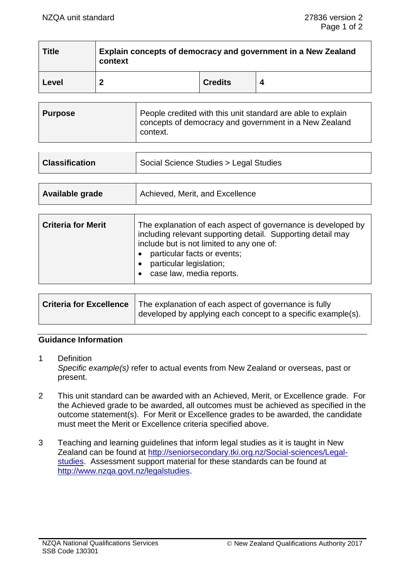$\overline{\phantom{a}}$ 

 $\overline{\phantom{a}}$  . The contract of the contract of the contract of the contract of the contract of the contract of the contract of the contract of the contract of the contract of the contract of the contract of the contract of

| <b>Title</b> | Explain concepts of democracy and government in a New Zealand<br>context |                |   |
|--------------|--------------------------------------------------------------------------|----------------|---|
| Level        | າ                                                                        | <b>Credits</b> | Δ |

| <b>Purpose</b> | People credited with this unit standard are able to explain<br>concepts of democracy and government in a New Zealand<br>context. |
|----------------|----------------------------------------------------------------------------------------------------------------------------------|
|----------------|----------------------------------------------------------------------------------------------------------------------------------|

| <b>Classification</b> | Social Science Studies > Legal Studies |
|-----------------------|----------------------------------------|
|                       |                                        |

| Available grade | Achieved, Merit, and Excellence |
|-----------------|---------------------------------|
|                 |                                 |

 $\blacksquare$ 

| <b>Criteria for Merit</b> | The explanation of each aspect of governance is developed by<br>including relevant supporting detail. Supporting detail may<br>include but is not limited to any one of:<br>particular facts or events;<br>particular legislation;<br>case law, media reports. |
|---------------------------|----------------------------------------------------------------------------------------------------------------------------------------------------------------------------------------------------------------------------------------------------------------|
|---------------------------|----------------------------------------------------------------------------------------------------------------------------------------------------------------------------------------------------------------------------------------------------------------|

|  | <b>Criteria for Excellence</b>   The explanation of each aspect of governance is fully<br>developed by applying each concept to a specific example(s). |
|--|--------------------------------------------------------------------------------------------------------------------------------------------------------|
|--|--------------------------------------------------------------------------------------------------------------------------------------------------------|

## **Guidance Information**

- 1 Definition *Specific example(s)* refer to actual events from New Zealand or overseas, past or present.
- 2 This unit standard can be awarded with an Achieved, Merit, or Excellence grade. For the Achieved grade to be awarded, all outcomes must be achieved as specified in the outcome statement(s). For Merit or Excellence grades to be awarded, the candidate must meet the Merit or Excellence criteria specified above.
- 3 Teaching and learning guidelines that inform legal studies as it is taught in New Zealand can be found at [http://seniorsecondary.tki.org.nz/Social-sciences/Legal](http://seniorsecondary.tki.org.nz/Social-sciences/Legal-studies)[studies.](http://seniorsecondary.tki.org.nz/Social-sciences/Legal-studies) Assessment support material for these standards can be found at [http://www.nzqa.govt.nz/legalstudies.](http://www.nzqa.govt.nz/legalstudies)